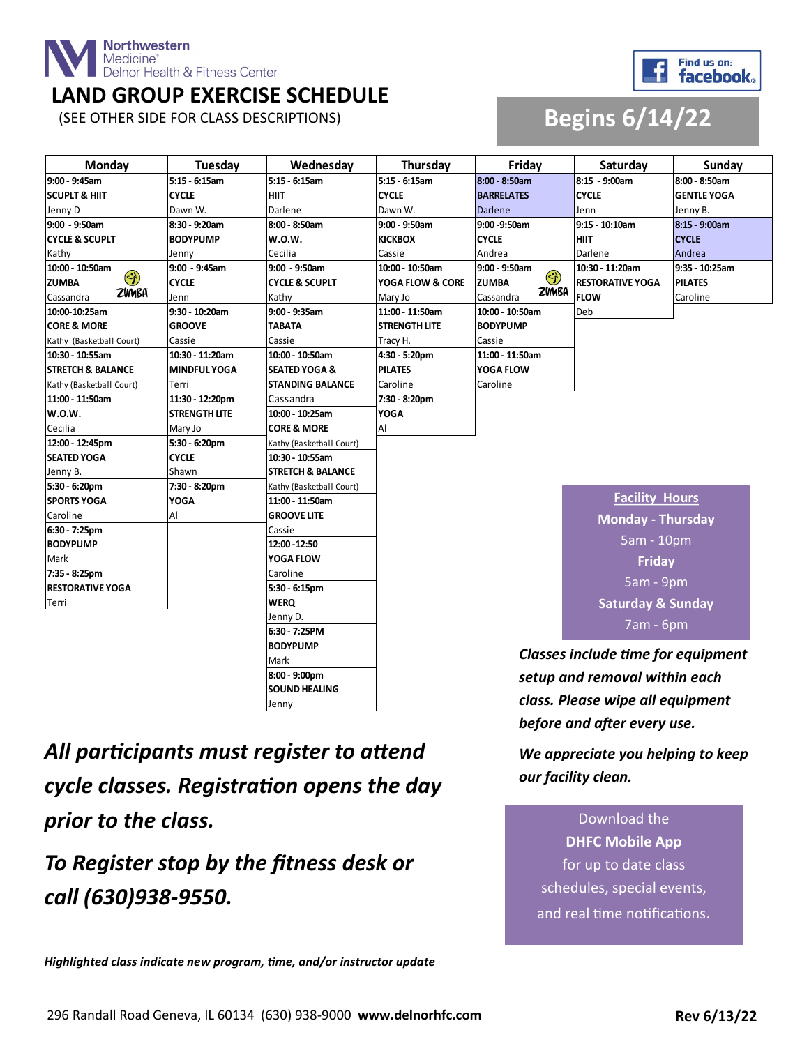

#### **LAND GROUP EXERCISE SCHEDULE**



#### (SEE OTHER SIDE FOR CLASS DESCRIPTIONS) **Begins 6/14/22**

| Monday                       | Tuesday              | Wednesday                    | Thursday                                  | Friday                    | Saturday                     | Sunday             |
|------------------------------|----------------------|------------------------------|-------------------------------------------|---------------------------|------------------------------|--------------------|
| 9:00 - 9:45am                | 5:15 - 6:15am        | $5:15 - 6:15am$              | 5:15 - 6:15am                             | $8:00 - 8:50am$           | 8:15 - 9:00am                | 8:00 - 8:50am      |
| <b>SCUPLT &amp; HIIT</b>     | <b>CYCLE</b>         | <b>HIIT</b>                  | <b>CYCLE</b>                              | <b>BARRELATES</b>         | <b>CYCLE</b>                 | <b>GENTLE YOGA</b> |
| Jenny D                      | Dawn W.              | Darlene                      | Dawn W.                                   | <b>Darlene</b>            | Jenn                         | Jenny B.           |
| 9:00 - 9:50am                | 8:30 - 9:20am        | 8:00 - 8:50am                | 9:00 - 9:50am                             | 9:00 - 9:50am             | 9:15 - 10:10am               | 8:15 - 9:00am      |
| <b>CYCLE &amp; SCUPLT</b>    | <b>BODYPUMP</b>      | <b>W.O.W.</b>                | <b>KICKBOX</b>                            | <b>CYCLE</b>              | <b>HIIT</b>                  | <b>CYCLE</b>       |
| Kathy                        | Jenny                | Cecilia                      | Cassie                                    | Andrea                    | Darlene                      | Andrea             |
| 10:00 - 10:50am              | 9:00 - 9:45am        | $9:00 - 9:50am$              | 10:00 - 10:50am                           | 9:00 - 9:50am             | 10:30 - 11:20am              | 9:35 - 10:25am     |
| $\odot$<br><b>ZUMBA</b>      | <b>CYCLE</b>         | <b>CYCLE &amp; SCUPLT</b>    | YOGA FLOW & CORE                          | $\odot$<br><b>ZUMBA</b>   | <b>RESTORATIVE YOGA</b>      | <b>PILATES</b>     |
| ZVMBA<br>Cassandra           | Jenn                 | Kathy                        | Mary Jo                                   | <b>ZVMBA</b><br>Cassandra | <b>FLOW</b>                  | Caroline           |
| 10:00-10:25am                | 9:30 - 10:20am       | $9:00 - 9:35$ am             | 11:00 - 11:50am                           | 10:00 - 10:50am           | Deb                          |                    |
| <b>CORE &amp; MORE</b>       | <b>GROOVE</b>        | <b>TABATA</b>                | <b>STRENGTH LITE</b>                      | <b>BODYPUMP</b>           |                              |                    |
| Kathy (Basketball Court)     | Cassie               | Cassie                       | Tracy H.                                  | Cassie                    |                              |                    |
| 10:30 - 10:55am              | 10:30 - 11:20am      | 10:00 - 10:50am              | 4:30 - 5:20pm                             | 11:00 - 11:50am           |                              |                    |
| <b>STRETCH &amp; BALANCE</b> | <b>MINDFUL YOGA</b>  | <b>SEATED YOGA &amp;</b>     | <b>PILATES</b>                            | YOGA FLOW                 |                              |                    |
| Kathy (Basketball Court)     | Terri                | <b>STANDING BALANCE</b>      | Caroline                                  | Caroline                  |                              |                    |
| 11:00 - 11:50am              | 11:30 - 12:20pm      | Cassandra                    | 7:30 - 8:20pm                             |                           |                              |                    |
| <b>W.O.W.</b>                | <b>STRENGTH LITE</b> | 10:00 - 10:25am              | <b>YOGA</b>                               |                           |                              |                    |
| Cecilia                      | Mary Jo              | <b>CORE &amp; MORE</b>       | Al                                        |                           |                              |                    |
| 12:00 - 12:45pm              | 5:30 - 6:20pm        | Kathy (Basketball Court)     |                                           |                           |                              |                    |
| <b>SEATED YOGA</b>           | <b>CYCLE</b>         | 10:30 - 10:55am              |                                           |                           |                              |                    |
| Jenny B.                     | Shawn                | <b>STRETCH &amp; BALANCE</b> |                                           |                           |                              |                    |
| 5:30 - 6:20pm                | 7:30 - 8:20pm        | Kathy (Basketball Court)     |                                           |                           |                              |                    |
| <b>SPORTS YOGA</b>           | <b>YOGA</b>          | 11:00 - 11:50am              |                                           |                           | <b>Facility Hours</b>        |                    |
| Caroline                     | Al                   | <b>GROOVE LITE</b>           |                                           |                           | <b>Monday - Thursday</b>     |                    |
| 6:30 - 7:25pm                |                      | Cassie                       |                                           |                           |                              |                    |
| <b>BODYPUMP</b>              |                      | 12:00 - 12:50                |                                           |                           | 5am - 10pm                   |                    |
| Mark                         |                      | <b>YOGA FLOW</b>             |                                           |                           | <b>Friday</b>                |                    |
| 7:35 - 8:25pm                |                      | Caroline                     |                                           |                           |                              |                    |
| <b>RESTORATIVE YOGA</b>      |                      | 5:30 - 6:15pm                |                                           |                           | 5am - 9pm                    |                    |
| Terri                        |                      | <b>WERQ</b>                  |                                           |                           | <b>Saturday &amp; Sunday</b> |                    |
|                              |                      | Jenny D.                     |                                           |                           |                              |                    |
|                              |                      | 6:30 - 7:25PM                | 7am - 6pm                                 |                           |                              |                    |
|                              |                      | <b>BODYPUMP</b>              | <b>Classes include time for equipment</b> |                           |                              |                    |
|                              |                      | Mark                         |                                           |                           |                              |                    |
|                              |                      | 8:00 - 9:00pm                | setup and removal within each             |                           |                              |                    |
| <b>SOUND HEALING</b>         |                      |                              |                                           |                           |                              |                    |

*All participants must register to attend cycle classes. Registration opens the day prior to the class.* 

Jenny

*To Register stop by the fitness desk or call (630)938-9550.*

*Highlighted class indicate new program, time, and/or instructor update*

*class. Please wipe all equipment before and after every use.* 

*We appreciate you helping to keep our facility clean.* 

Download the **DHFC Mobile App**  for up to date class schedules, special events, and real time notifications.